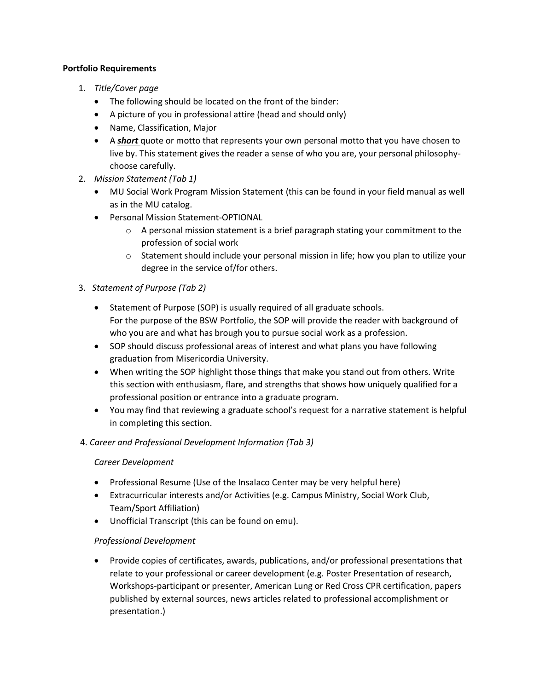## **Portfolio Requirements**

- 1. *Title/Cover page*
	- The following should be located on the front of the binder:
	- A picture of you in professional attire (head and should only)
	- Name, Classification, Major
	- A *short* quote or motto that represents your own personal motto that you have chosen to live by. This statement gives the reader a sense of who you are, your personal philosophychoose carefully.
- 2. *Mission Statement (Tab 1)*
	- MU Social Work Program Mission Statement (this can be found in your field manual as well as in the MU catalog.
	- Personal Mission Statement-OPTIONAL
		- $\circ$  A personal mission statement is a brief paragraph stating your commitment to the profession of social work
		- $\circ$  Statement should include your personal mission in life; how you plan to utilize your degree in the service of/for others.
- 3. *Statement of Purpose (Tab 2)*
	- Statement of Purpose (SOP) is usually required of all graduate schools. For the purpose of the BSW Portfolio, the SOP will provide the reader with background of who you are and what has brough you to pursue social work as a profession.
	- SOP should discuss professional areas of interest and what plans you have following graduation from Misericordia University.
	- When writing the SOP highlight those things that make you stand out from others. Write this section with enthusiasm, flare, and strengths that shows how uniquely qualified for a professional position or entrance into a graduate program.
	- You may find that reviewing a graduate school's request for a narrative statement is helpful in completing this section.
- 4. *Career and Professional Development Information (Tab 3)*

# *Career Development*

- Professional Resume (Use of the Insalaco Center may be very helpful here)
- Extracurricular interests and/or Activities (e.g. Campus Ministry, Social Work Club, Team/Sport Affiliation)
- Unofficial Transcript (this can be found on emu).

# *Professional Development*

 Provide copies of certificates, awards, publications, and/or professional presentations that relate to your professional or career development (e.g. Poster Presentation of research, Workshops-participant or presenter, American Lung or Red Cross CPR certification, papers published by external sources, news articles related to professional accomplishment or presentation.)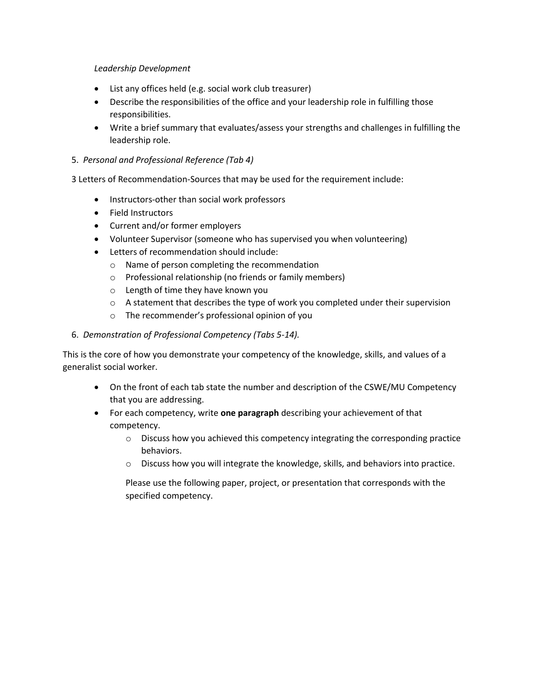## *Leadership Development*

- List any offices held (e.g. social work club treasurer)
- Describe the responsibilities of the office and your leadership role in fulfilling those responsibilities.
- Write a brief summary that evaluates/assess your strengths and challenges in fulfilling the leadership role.

# 5. *Personal and Professional Reference (Tab 4)*

3 Letters of Recommendation-Sources that may be used for the requirement include:

- Instructors-other than social work professors
- Field Instructors
- Current and/or former employers
- Volunteer Supervisor (someone who has supervised you when volunteering)
- Letters of recommendation should include:
	- o Name of person completing the recommendation
	- o Professional relationship (no friends or family members)
	- o Length of time they have known you
	- $\circ$  A statement that describes the type of work you completed under their supervision
	- o The recommender's professional opinion of you

# 6. *Demonstration of Professional Competency (Tabs 5-14).*

This is the core of how you demonstrate your competency of the knowledge, skills, and values of a generalist social worker.

- On the front of each tab state the number and description of the CSWE/MU Competency that you are addressing.
- For each competency, write **one paragraph** describing your achievement of that competency.
	- $\circ$  Discuss how you achieved this competency integrating the corresponding practice behaviors.
	- o Discuss how you will integrate the knowledge, skills, and behaviors into practice.

Please use the following paper, project, or presentation that corresponds with the specified competency.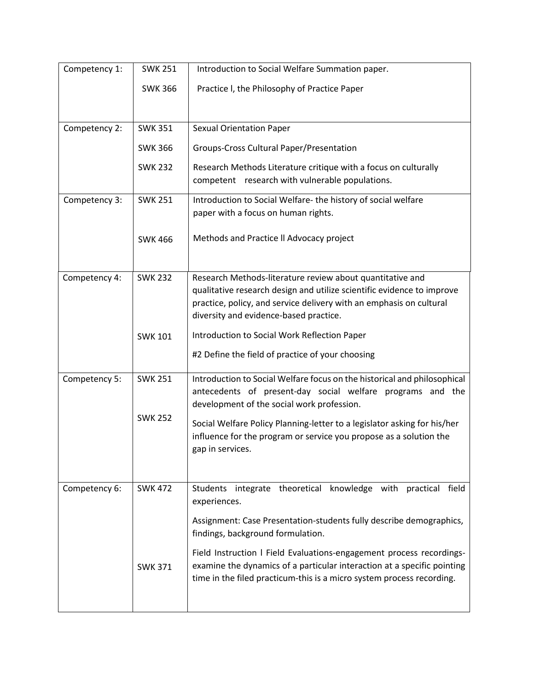| Competency 1: | <b>SWK 251</b> | Introduction to Social Welfare Summation paper.                                                          |
|---------------|----------------|----------------------------------------------------------------------------------------------------------|
|               | <b>SWK 366</b> | Practice I, the Philosophy of Practice Paper                                                             |
|               |                |                                                                                                          |
| Competency 2: | <b>SWK 351</b> | <b>Sexual Orientation Paper</b>                                                                          |
|               |                |                                                                                                          |
|               | <b>SWK 366</b> | Groups-Cross Cultural Paper/Presentation                                                                 |
|               | <b>SWK 232</b> | Research Methods Literature critique with a focus on culturally                                          |
|               |                | competent research with vulnerable populations.                                                          |
| Competency 3: | <b>SWK 251</b> | Introduction to Social Welfare- the history of social welfare                                            |
|               |                | paper with a focus on human rights.                                                                      |
|               | <b>SWK 466</b> | Methods and Practice II Advocacy project                                                                 |
|               |                |                                                                                                          |
| Competency 4: | <b>SWK 232</b> | Research Methods-literature review about quantitative and                                                |
|               |                | qualitative research design and utilize scientific evidence to improve                                   |
|               |                | practice, policy, and service delivery with an emphasis on cultural                                      |
|               |                | diversity and evidence-based practice.                                                                   |
|               | <b>SWK 101</b> | Introduction to Social Work Reflection Paper                                                             |
|               |                | #2 Define the field of practice of your choosing                                                         |
| Competency 5: | <b>SWK 251</b> | Introduction to Social Welfare focus on the historical and philosophical                                 |
|               |                | antecedents of present-day social welfare programs and the                                               |
|               |                | development of the social work profession.                                                               |
|               | <b>SWK 252</b> | Social Welfare Policy Planning-letter to a legislator asking for his/her                                 |
|               |                | influence for the program or service you propose as a solution the                                       |
|               |                | gap in services.                                                                                         |
|               |                |                                                                                                          |
| Competency 6: | <b>SWK 472</b> | Students integrate theoretical knowledge with practical field<br>experiences.                            |
|               |                | Assignment: Case Presentation-students fully describe demographics,<br>findings, background formulation. |
|               |                | Field Instruction I Field Evaluations-engagement process recordings-                                     |
|               | <b>SWK 371</b> | examine the dynamics of a particular interaction at a specific pointing                                  |
|               |                | time in the filed practicum-this is a micro system process recording.                                    |
|               |                |                                                                                                          |
|               |                |                                                                                                          |